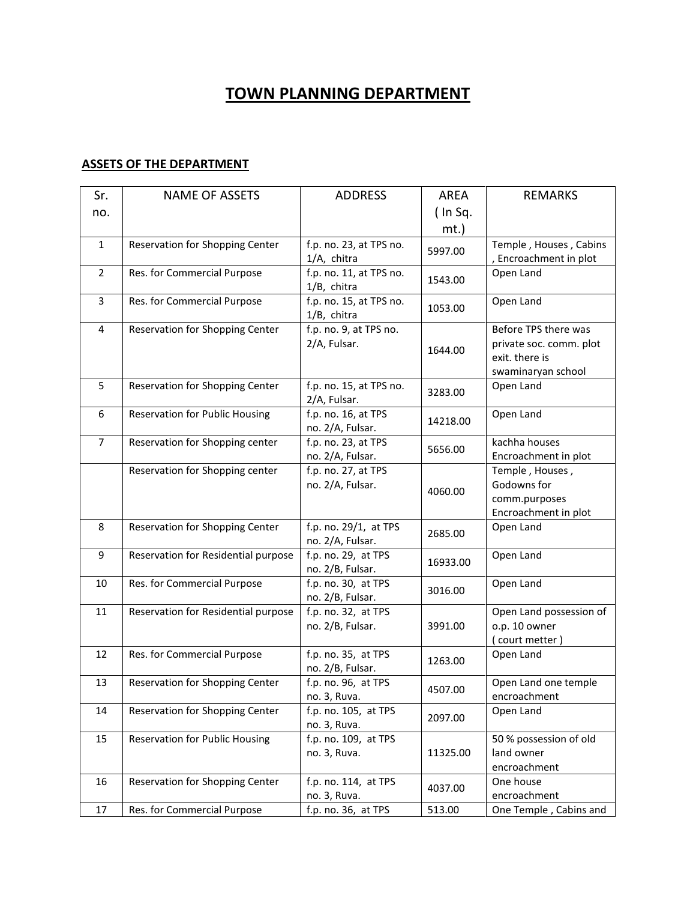## **TOWN PLANNING DEPARTMENT**

## **ASSETS OF THE DEPARTMENT**

| Sr.            | <b>NAME OF ASSETS</b>                 | <b>ADDRESS</b>                            | <b>AREA</b> | <b>REMARKS</b>                                                                          |
|----------------|---------------------------------------|-------------------------------------------|-------------|-----------------------------------------------------------------------------------------|
| no.            |                                       |                                           | ( In Sq.    |                                                                                         |
|                |                                       |                                           | mt.)        |                                                                                         |
| $\mathbf{1}$   | Reservation for Shopping Center       | f.p. no. 23, at TPS no.<br>1/A, chitra    | 5997.00     | Temple, Houses, Cabins<br>, Encroachment in plot                                        |
| $\overline{2}$ | Res. for Commercial Purpose           | f.p. no. 11, at TPS no.<br>1/B, chitra    | 1543.00     | Open Land                                                                               |
| 3              | Res. for Commercial Purpose           | f.p. no. 15, at TPS no.<br>1/B, chitra    | 1053.00     | Open Land                                                                               |
| $\overline{4}$ | Reservation for Shopping Center       | f.p. no. 9, at TPS no.<br>2/A, Fulsar.    | 1644.00     | Before TPS there was<br>private soc. comm. plot<br>exit. there is<br>swaminaryan school |
| 5              | Reservation for Shopping Center       | f.p. no. 15, at TPS no.<br>2/A, Fulsar.   | 3283.00     | Open Land                                                                               |
| 6              | <b>Reservation for Public Housing</b> | f.p. no. 16, at TPS<br>no. 2/A, Fulsar.   | 14218.00    | Open Land                                                                               |
| $\overline{7}$ | Reservation for Shopping center       | f.p. no. 23, at TPS<br>no. 2/A, Fulsar.   | 5656.00     | kachha houses<br>Encroachment in plot                                                   |
|                | Reservation for Shopping center       | f.p. no. 27, at TPS<br>no. 2/A, Fulsar.   | 4060.00     | Temple, Houses,<br>Godowns for<br>comm.purposes<br>Encroachment in plot                 |
| 8              | Reservation for Shopping Center       | f.p. no. 29/1, at TPS<br>no. 2/A, Fulsar. | 2685.00     | Open Land                                                                               |
| 9              | Reservation for Residential purpose   | f.p. no. 29, at TPS<br>no. 2/B, Fulsar.   | 16933.00    | Open Land                                                                               |
| 10             | Res. for Commercial Purpose           | f.p. no. 30, at TPS<br>no. 2/B, Fulsar.   | 3016.00     | Open Land                                                                               |
| 11             | Reservation for Residential purpose   | f.p. no. 32, at TPS<br>no. 2/B, Fulsar.   | 3991.00     | Open Land possession of<br>o.p. 10 owner<br>(court metter)                              |
| 12             | Res. for Commercial Purpose           | f.p. no. 35, at TPS<br>no. 2/B, Fulsar.   | 1263.00     | Open Land                                                                               |
| 13             | Reservation for Shopping Center       | f.p. no. 96, at TPS<br>no. 3, Ruva.       | 4507.00     | Open Land one temple<br>encroachment                                                    |
| 14             | Reservation for Shopping Center       | f.p. no. 105, at TPS<br>no. 3, Ruva.      | 2097.00     | Open Land                                                                               |
| 15             | Reservation for Public Housing        | f.p. no. 109, at TPS<br>no. 3, Ruva.      | 11325.00    | 50 % possession of old<br>land owner<br>encroachment                                    |
| 16             | Reservation for Shopping Center       | f.p. no. 114, at TPS<br>no. 3, Ruva.      | 4037.00     | One house<br>encroachment                                                               |
| 17             | Res. for Commercial Purpose           | f.p. no. 36, at TPS                       | 513.00      | One Temple, Cabins and                                                                  |